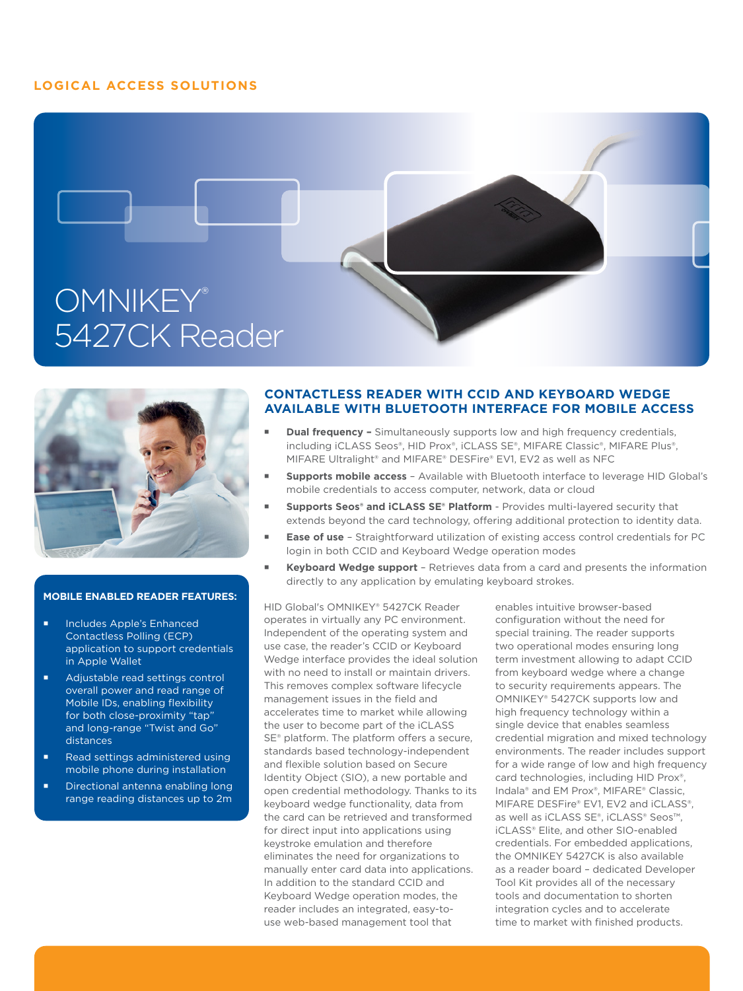# **LOGICAL ACCESS SOLUTIONS**

# **OMNIKEY®** 5427CK Reader



### **MOBILE ENABLED READER FEATURES:**

- Includes Apple's Enhanced Contactless Polling (ECP) application to support credentials in Apple Wallet
- Adjustable read settings control overall power and read range of Mobile IDs, enabling flexibility for both close-proximity "tap" and long-range "Twist and Go" distances
- **Read settings administered using** mobile phone during installation
- **Directional antenna enabling long** range reading distances up to 2m

# **CONTACTLESS READER WITH CCID AND KEYBOARD WEDGE AVAILABLE WITH BLUETOOTH INTERFACE FOR MOBILE ACCESS**

- **Dual frequency** Simultaneously supports low and high frequency credentials, including iCLASS Seos®, HID Prox®, iCLASS SE®, MIFARE Classic®, MIFARE Plus®, MIFARE Ultralight® and MIFARE® DESFire® EV1, EV2 as well as NFC
- **Supports mobile access**  Available with Bluetooth interface to leverage HID Global's mobile credentials to access computer, network, data or cloud
- **Supports Seos® and iCLASS SE® Platform**  Provides multi-layered security that extends beyond the card technology, offering additional protection to identity data.
- **Ease of use**  Straightforward utilization of existing access control credentials for PC login in both CCID and Keyboard Wedge operation modes
- **Keyboard Wedge support**  Retrieves data from a card and presents the information directly to any application by emulating keyboard strokes.

HID Global's OMNIKEY® 5427CK Reader operates in virtually any PC environment. Independent of the operating system and use case, the reader's CCID or Keyboard Wedge interface provides the ideal solution with no need to install or maintain drivers. This removes complex software lifecycle management issues in the field and accelerates time to market while allowing the user to become part of the iCLASS SE<sup>®</sup> platform. The platform offers a secure, standards based technology-independent and flexible solution based on Secure Identity Object (SIO), a new portable and open credential methodology. Thanks to its keyboard wedge functionality, data from the card can be retrieved and transformed for direct input into applications using keystroke emulation and therefore eliminates the need for organizations to manually enter card data into applications. In addition to the standard CCID and Keyboard Wedge operation modes, the reader includes an integrated, easy-touse web-based management tool that

enables intuitive browser-based configuration without the need for special training. The reader supports two operational modes ensuring long term investment allowing to adapt CCID from keyboard wedge where a change to security requirements appears. The OMNIKEY® 5427CK supports low and high frequency technology within a single device that enables seamless credential migration and mixed technology environments. The reader includes support for a wide range of low and high frequency card technologies, including HID Prox®, Indala® and EM Prox®, MIFARE® Classic, MIFARE DESFire® EV1, EV2 and iCLASS®, as well as iCLASS SE®, iCLASS® Seos™, iCLASS® Elite, and other SIO-enabled credentials. For embedded applications, the OMNIKEY 5427CK is also available as a reader board – dedicated Developer Tool Kit provides all of the necessary tools and documentation to shorten integration cycles and to accelerate time to market with finished products.